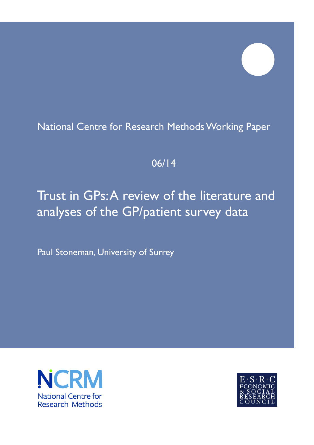## National Centre for Research Methods Working Paper

## 06/14

# Trust in GPs: A review of the literature and analyses of the GP/patient survey data

Paul Stoneman, University of Surrey



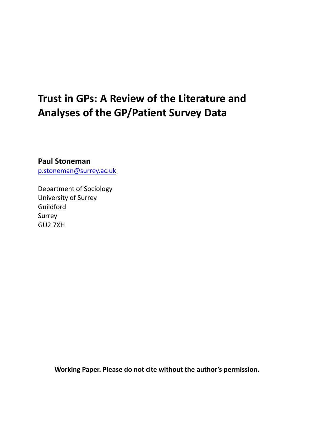# **Trust in GPs: A Review of the Literature and Analyses of the GP/Patient Survey Data**

**Paul Stoneman** [p.stoneman@surrey.ac.uk](mailto:p.stoneman@surrey.ac.uk)

Department of Sociology University of Surrey Guildford Surrey GU2 7XH

**Working Paper. Please do not cite without the author's permission.**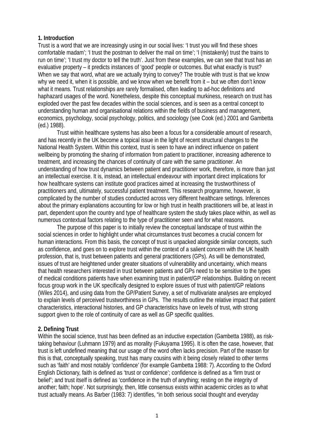#### **1. Introduction**

Trust is a word that we are increasingly using in our social lives: 'I trust you will find these shoes comfortable madam'; 'I trust the postman to deliver the mail on time'; 'I (mistakenly) trust the trains to run on time'; 'I trust my doctor to tell the truth'. Just from these examples, we can see that trust has an evaluative property – it predicts instances of 'good' people or outcomes. But what exactly is trust? When we say that word, what are we actually trying to convey? The trouble with trust is that we know why we need it, when it is possible, and we know when we benefit from it – but we often don't know what it means. Trust relationships are rarely formalised, often leading to ad-hoc definitions and haphazard usages of the word. Nonetheless, despite this conceptual murkiness, research on trust has exploded over the past few decades within the social sciences, and is seen as a central concept to understanding human and organisational relations within the fields of business and management, economics, psychology, social psychology, politics, and sociology (see Cook (ed.) 2001 and Gambetta (ed.) 1988).

Trust within healthcare systems has also been a focus for a considerable amount of research, and has recently in the UK become a topical issue in the light of recent structural changes to the National Health System. Within this context, trust is seen to have an indirect influence on patient wellbeing by promoting the sharing of information from patient to practitioner, increasing adherence to treatment, and increasing the chances of continuity of care with the same practitioner. An understanding of how trust dynamics between patient and practitioner work, therefore, is more than just an intellectual exercise. It is, instead, an intellectual endeavour with important direct implications for how healthcare systems can institute good practices aimed at increasing the trustworthiness of practitioners and, ultimately, successful patient treatment. This research programme, however, is complicated by the number of studies conducted across very different healthcare settings. Inferences about the primary explanations accounting for low or high trust in health practitioners will be, at least in part, dependent upon the country and type of healthcare system the study takes place within, as well as numerous contextual factors relating to the type of practitioner seen and for what reasons.

The purpose of this paper is to initially review the conceptual landscape of trust within the social sciences in order to highlight under what circumstances trust becomes a crucial concern for human interactions. From this basis, the concept of trust is unpacked alongside similar concepts, such as confidence, and goes on to explore trust within the context of a salient concern with the UK health profession, that is, trust between patients and general practitioners (GPs). As will be demonstrated, issues of trust are heightened under greater situations of vulnerability and uncertainty, which means that health researchers interested in trust between patients and GPs need to be sensitive to the types of medical conditions patients have when examining trust in patient/GP relationships. Building on recent focus group work in the UK specifically designed to explore issues of trust with patient/GP relations (Wiles 2014), and using data from the GP/Patient Survey, a set of multivariate analyses are employed to explain levels of perceived trustworthiness in GPs. The results outline the relative impact that patient characteristics, interactional histories, and GP characteristics have on levels of trust, with strong support given to the role of continuity of care as well as GP specific qualities.

#### **2. Defining Trust**

Within the social science, trust has been defined as an inductive expectation (Gambetta 1988), as risktaking behaviour (Luhmann 1979) and as morality (Fukuyama 1995). It is often the case, however, that trust is left undefined meaning that our usage of the word often lacks precision. Part of the reason for this is that, conceptually speaking, trust has many cousins with it being closely related to other terms such as 'faith' and most notably 'confidence' (for example Gambetta 1988: 7). According to the Oxford English Dictionary, faith is defined as 'trust or confidence'; confidence is defined as a 'firm trust or belief'; and trust itself is defined as 'confidence in the truth of anything; resting on the integrity of another; faith; hope'. Not surprisingly, then, little consensus exists within academic circles as to what trust actually means. As Barber (1983: 7) identifies, "in both serious social thought and everyday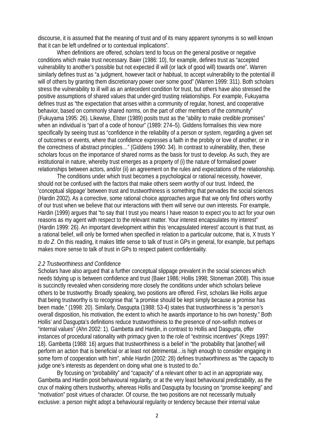discourse, it is assumed that the meaning of trust and of its many apparent synonyms is so well known that it can be left undefined or to contextual implications".

When definitions are offered, scholars tend to focus on the general positive or negative conditions which make trust necessary. Baier (1986: 10), for example, defines trust as "accepted vulnerability to another's possible but not expected ill will (or lack of good will) towards one". Warren similarly defines trust as "a judgment, however tacit or habitual, to accept vulnerability to the potential ill will of others by granting them discretionary power over some good" (Warren 1999: 311). Both scholars stress the vulnerability to ill will as an antecedent condition for trust, but others have also stressed the positive assumptions of shared values that under-gird trusting relationships. For example, Fukuyama defines trust as "the expectation that arises within a community of regular, honest, and cooperative behavior, based on commonly shared norms, on the part of other members of the community" (Fukuyama 1995: 26). Likewise, Elster (1989) posits trust as the "ability to make credible promises" when an individual is "part of a code of honour" (1989: 274–5). Giddens formalises this view more specifically by seeing trust as "confidence in the reliability of a person or system, regarding a given set of outcomes or events, where that confidence expresses a faith in the probity or love of another, or in the correctness of abstract principles…" (Giddens 1990: 34). In contrast to vulnerability, then, these scholars focus on the importance of shared norms as the basis for trust to develop. As such, they are institutional in nature, whereby trust emerges as a property of (i) the nature of formalised power relationships between actors, and/or (ii) an agreement on the rules and expectations of the relationship.

The conditions under which trust becomes a psychological or rational necessity, however, should not be confused with the factors that make others seem *worthy* of our trust. Indeed, the 'conceptual slippage' between trust and trustworthiness is something that pervades the social sciences (Hardin 2002). As a corrective, some rational choice approaches argue that we only find others worthy of our trust when we believe that our interactions with them will serve our own interests. For example, Hardin (1999) argues that "to say that I trust you means I have reason to expect you to act for your own reasons as my agent with respect to the relevant matter. Your interest encapsulates my interest" (Hardin 1999: 26). An important development within this 'encapsulated interest' account is that trust, as a rational belief, will only be formed when specified in relation to a particular outcome, that is, X trusts Y *to do Z*. On this reading, it makes little sense to talk of trust in GPs in general, for example, but perhaps makes more sense to talk of trust in GPs to respect patient confidentiality.

#### *2.2 Trustworthiness and Confidence*

Scholars have also argued that a further conceptual slippage prevalent in the social sciences which needs tidying up is between confidence and trust (Baier 1986; Hollis 1998; Stoneman 2008). This issue is succinctly revealed when considering more closely the conditions under which scholars believe others to be trustworthy. Broadly speaking, two positions are offered. First, scholars like Hollis argue that being trustworthy is to recognise that "a promise should be kept simply because a promise has been made." (1998: 20). Similarly, Dasgupta (1988: 53-4) states that trustworthiness is "a person's overall disposition, his motivation, the extent to which he awards importance to his own honesty." Both Hollis' and Dasgupta's definitions reduce trustworthiness to the presence of non-selfish motives or "internal values" (Ahn 2002: 1). Gambetta and Hardin, in contrast to Hollis and Dasgupta, offer instances of procedural rationality with primacy given to the role of "extrinsic incentives" (Kreps 1997: 18). Gambetta (1988: 16) argues that trustworthiness is a belief in "the probability that [another] will perform an action that is beneficial or at least not detrimental…is high enough to consider engaging in some form of cooperation with him", while Hardin (2002: 28) defines trustworthiness as "the capacity to judge one's interests as dependent on doing what one is trusted to do."

By focusing on "probability" and "capacity" of a relevant other to act in an appropriate way, Gambetta and Hardin posit behavioural regularity, or at the very least behavioural *predictability*, as the crux of making others trustworthy, whereas Hollis and Dasgupta by focusing on "promise keeping" and "motivation" posit virtues of character. Of course, the two positions are not necessarily mutually exclusive: a person might adopt a behavioural regularity or tendency because their internal value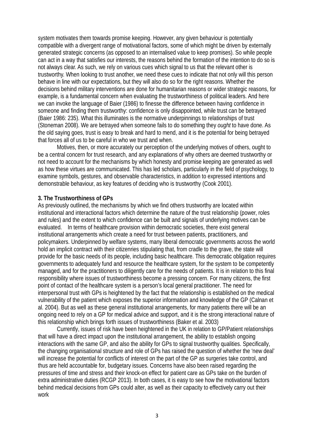system motivates them towards promise keeping. However, any given behaviour is potentially compatible with a divergent range of motivational factors, some of which might be driven by externally generated strategic concerns (as opposed to an internalised value to keep promises). So while people can act in a way that satisfies our interests, the reasons behind the formation of the intention to do so is not always clear. As such, we rely on various cues which signal to us that the relevant other is trustworthy. When looking to trust another, we need these cues to indicate that not only will this person behave in line with our expectations, but they will also do so for the right reasons. Whether the decisions behind military interventions are done for humanitarian reasons or wider strategic reasons, for example, is a fundamental concern when evaluating the trustworthiness of political leaders. And here we can invoke the language of Baier (1986) to finesse the difference between having confidence in someone and finding them trustworthy: confidence is only disappointed, while trust can be betrayed (Baier 1986: 235). What this illuminates is the normative underpinnings to relationships of trust (Stoneman 2008). We are betrayed when someone fails to do something they *ought* to have done. As the old saying goes, trust is easy to break and hard to mend, and it is the potential for being betrayed that forces all of us to be careful in who we trust and when.

Motives, then, or more accurately our perception of the underlying motives of others, ought to be a central concern for trust research, and any explanations of why others are deemed trustworthy or not need to account for the mechanisms by which honesty and promise keeping are generated as well as how these virtues are communicated. This has led scholars, particularly in the field of psychology, to examine symbols, gestures, and observable characteristics, in addition to expressed intentions and demonstrable behaviour, as key features of deciding who is trustworthy (Cook 2001).

#### **3. The Trustworthiness of GPs**

As previously outlined, the mechanisms by which we find others trustworthy are located within institutional and interactional factors which determine the nature of the trust relationship (power, roles and rules) and the extent to which confidence can be built and signals of underlying motives can be evaluated. In terms of healthcare provision within democratic societies, there exist general institutional arrangements which create a need for trust between patients, practitioners, and policymakers. Underpinned by welfare systems, many liberal democratic governments across the world hold an implicit contract with their citizenries stipulating that, from cradle to the grave, the state will provide for the basic needs of its people, including basic healthcare. This democratic obligation requires governments to adequately fund and resource the healthcare system, for the system to be competently managed, and for the practitioners to diligently care for the needs of patients. It is in relation to this final responsibility where issues of trustworthiness become a pressing concern. For many citizens, the first point of contact of the healthcare system is a person's local general practitioner. The need for interpersonal trust with GPs is heightened by the fact that the relationship is established on the medical vulnerability of the patient which exposes the superior information and knowledge of the GP (Calnan et al. 2004). But as well as these general institutional arrangements, for many patients there will be an ongoing need to rely on a GP for medical advice and support, and it is the strong interactional nature of this relationship which brings forth issues of trustworthiness (Baker et al. 2003)

Currently, issues of risk have been heightened in the UK in relation to GP/Patient relationships that will have a direct impact upon the institutional arrangement, the ability to establish ongoing interactions with the same GP, and also the ability for GPs to signal trustworthy qualities. Specifically, the changing organisational structure and role of GPs has raised the question of whether the 'new deal' will increase the potential for conflicts of interest on the part of the GP as surgeries take control, and thus are held accountable for, budgetary issues. Concerns have also been raised regarding the pressures of time and stress and their knock-on effect for patient care as GPs take on the burden of extra administrative duties (RCGP 2013). In both cases, it is easy to see how the motivational factors behind medical decisions from GPs could alter, as well as their capacity to effectively carry out their work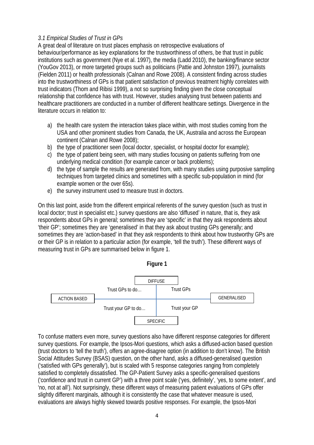#### *3.1 Empirical Studies of Trust in GPs*

A great deal of literature on trust places emphasis on retrospective evaluations of behaviour/performance as key explanations for the trustworthiness of others, be that trust in public institutions such as government (Nye et al. 1997), the media (Ladd 2010), the banking/finance sector (YouGov 2013), or more targeted groups such as politicians (Pattie and Johnston 1997), journalists (Fielden 2011) or health professionals (Calnan and Rowe 2008). A consistent finding across studies into the trustworthiness of GPs is that patient satisfaction of previous treatment highly correlates with trust indicators (Thom and Ribisi 1999), a not so surprising finding given the close conceptual relationship that confidence has with trust. However, studies analysing trust between patients and healthcare practitioners are conducted in a number of different healthcare settings. Divergence in the literature occurs in relation to:

- a) the health care system the interaction takes place within, with most studies coming from the USA and other prominent studies from Canada, the UK, Australia and across the European continent (Calnan and Rowe 2008);
- b) the type of practitioner seen (local doctor, specialist, or hospital doctor for example);
- c) the type of patient being seen, with many studies focusing on patients suffering from one underlying medical condition (for example cancer or back problems);
- d) the type of sample the results are generated from, with many studies using purposive sampling techniques from targeted clinics and sometimes with a specific sub-population in mind (for example women or the over 65s).
- e) the survey instrument used to measure trust in doctors.

On this last point, aside from the different empirical referents of the survey question (such as trust in local doctor; trust in specialist etc.) survey questions are also 'diffused' in nature, that is, they ask respondents about GPs in general; sometimes they are 'specific' in that they ask respondents about 'their GP'; sometimes they are 'generalised' in that they ask about trusting GPs generally; and sometimes they are 'action-based' in that they ask respondents to think about how trustworthy GPs are or their GP is in relation to a particular action (for example, 'tell the truth'). These different ways of measuring trust in GPs are summarised below in figure 1.





To confuse matters even more, survey questions also have different response categories for different survey questions. For example, the Ipsos-Mori questions, which asks a diffused-action based question (trust doctors to 'tell the truth'), offers an agree-disagree option (in addition to don't know). The British Social Attitudes Survey (BSAS) question, on the other hand, asks a diffused-generalised question ('satisfied with GPs generally'), but is scaled with 5 response categories ranging from completely satisfied to completely dissatisfied. The GP-Patient Survey asks a specific-generalised questions ('confidence and trust in current GP') with a three point scale ('yes, definitely', 'yes, to some extent', and 'no, not at all'). Not surprisingly, these different ways of measuring patient evaluations of GPs offer slightly different marginals, although it is consistently the case that whatever measure is used, evaluations are always highly skewed towards positive responses. For example, the Ipsos-Mori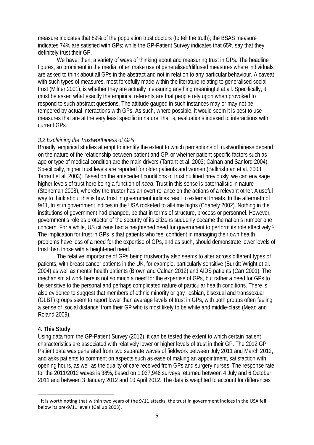measure indicates that 89% of the population trust doctors (to tell the truth); the BSAS measure indicates 74% are satisfied with GPs; while the GP-Patient Survey indicates that 65% say that they definitely trust their GP.

We have, then, a variety of ways of thinking about and measuring trust in GPs. The headline figures, so prominent in the media, often make use of generalised/diffused measures where individuals are asked to think about all GPs in the abstract and not in relation to any particular behaviour. A caveat with such types of measures, most forcefully made within the literature relating to generalised social trust (Milner 2001), is whether they are actually measuring anything meaningful at all. Specifically, it must be asked what exactly the empirical referents are that people rely upon when provoked to respond to such abstract questions. The attitude gauged in such instances may or may not be tempered by actual interactions with GPs. As such, where possible, it would seem it is best to use measures that are at the very least specific in nature, that is, evaluations indexed to interactions with current GPs.

#### *3.2 Explaining the Trustworthiness of GPs*

Broadly, empirical studies attempt to identify the extent to which perceptions of trustworthiness depend on the nature of the relationship between patient and GP, or whether patient specific factors such as age or type of medical condition are the main drivers (Tarrant et al. 2003; Calnan and Sanford 2004). Specifically, higher trust levels are reported for older patients and women (Balkrishnan et al. 2003; Tarrant et al. 2003). Based on the antecedent conditions of trust outlined previously, we can envisage higher levels of trust here being a function of *need*. Trust in this sense is paternalistic in nature (Stoneman 2008), whereby the trustor has an overt reliance on the actions of a relevant other. A useful way to think about this is how trust in government indices react to external threats. In the aftermath of 9/11, trust in government indices in the USA rocketed to all-time highs (Chanely 2002). Nothing in the institutions of government had changed, be that in terms of structure, process or personnel. However, government's role as protector of the security of its citizens suddenly became the nation's number one concern. For a while, US citizens had a heightened need for government to perform its role effectively.[1](#page-6-0) The implication for trust in GPs is that patients who feel confident in managing their own health problems have less of a need for the expertise of GPs, and as such, should demonstrate lower levels of trust than those with a heightened need.

The relative importance of GPs being trustworthy also seems to alter across different types of patients, with breast cancer patients in the UK, for example, particularly sensitive (Burkitt Wright et al. 2004) as well as mental health patients (Brown and Calnan 2012) and AIDS patients (Carr 2001). The mechanism at work here is not so much a need for the expertise of GPs, but rather a need for GPs to be sensitive to the personal and perhaps complicated nature of particular health conditions. There is also evidence to suggest that members of ethnic minority or gay, lesbian, bisexual and transsexual (GLBT) groups seem to report lower than average levels of trust in GPs, with both groups often feeling a sense of 'social distance' from their GP who is most likely to be white and middle-class (Mead and Roland 2009).

#### **4. This Study**

Using data from the GP-Patient Survey (2012), it can be tested the extent to which certain patient characteristics are associated with relatively lower or higher levels of trust in their GP. The 2012 GP Patient data was generated from two separate waves of fieldwork between July 2011 and March 2012, and asks patients to comment on aspects such as ease of making an appointment, satisfaction with opening hours, as well as the quality of care received from GPs and surgery nurses. The response rate for the 2011/2012 waves is 38%, based on 1,037,946 surveys returned between 4 July and 6 October 2011 and between 3 January 2012 and 10 April 2012. The data is weighted to account for differences

<span id="page-6-0"></span> $1$  It is worth noting that within two years of the 9/11 attacks, the trust in government indices in the USA fell below its pre-9/11 levels (Gallup 2003).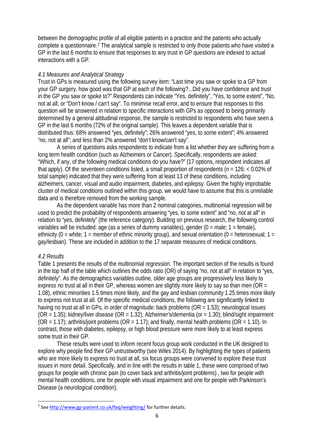between the demographic profile of all eligible patients in a practice and the patients who actually complete a questionnaire.[2](#page-7-0) The analytical sample is restricted to only those patients who have visited a GP in the last 6 months to ensure that responses to any trust in GP questions are indexed to actual interactions with a GP.

#### *4.1 Measures and Analytical Strategy*

Trust in GPs is measured using the following survey item: "Last time you saw or spoke to a GP from your GP surgery, how good was that GP at each of the following?...Did you have confidence and trust in the GP you saw or spoke to?" Respondents can indicate "Yes, definitely", "Yes, to some extent", "No, not at all, or "Don't know / can't say". To minimise recall error, and to ensure that responses to this question will be answered in relation to specific interactions with GPs as opposed to being primarily determined by a general attitudinal response, the sample is restricted to respondents who have seen a GP in the last 6 months (72% of the original sample). This leaves a dependent variable that is distributed thus: 68% answered "yes, definitely"; 26% answered "yes, to some extent"; 4% answered "no, not at all"; and less than 2% answered "don't know/can't say".

A series of questions asks respondents to indicate from a list whether they are suffering from a long term health condition (such as Alzheimers or Cancer). Specifically, respondents are asked: "Which, if any, of the following medical conditions do you have?" (17 options, respondent indicates all that apply). Of the seventeen conditions listed, a small proportion of respondents ( $n = 126$ ; < 0.02% of total sample) indicated that they were suffering from at least 13 of these conditions, including alzheimers, cancer, visual and audio impairment, diabetes, and epilepsy. Given the highly improbable cluster of medical conditions outlined within this group, we would have to assume that this is unreliable data and is therefore removed from the working sample.

As the dependent variable has more than 2 nominal categories, multinomial regression will be used to predict the probability of respondents answering "yes, to some extent" and "no, not at all" in relation to "yes, definitely" (the reference category). Building on previous research, the following control variables will be included: age (as a series of dummy variables), gender  $(0 = male; 1 = female)$ , ethnicity (0 = white; 1 = member of ethnic minority group), and sexual orientation (0 = heterosexual; 1 = gay/lesbian). These are included in addition to the 17 separate measures of medical conditions.

#### *4.2 Results*

Table 1 presents the results of the multinomial regression. The important section of the results is found in the top half of the table which outlines the odds ratio (OR) of saying "no, not at all" in relation to "yes, definitely". As the demographics variables outline, older age groups are progressively less likely to express no trust at all in their GP, whereas women are slightly more likely to say so than men (OR = 1.08), ethnic minorities 1.5 times more likely, and the gay and lesbian community 1.25 times more likely to express not trust at all. Of the specific medical conditions, the following are significantly linked to having no trust at all in GPs, in order of magnitude: back problems (OR = 1.53); neurological issues  $(OR = 1.35)$ ; kidney/liver disease  $(OR = 1.32)$ ; Alzheimer's/dementia (or = 1.30); blind/sight impairment  $(OR = 1.17)$ ; arthritis/joint problems  $(OR = 1.17)$ ; and finally, mental health problems  $(OR = 1.10)$ . In contrast, those with diabetes, epilepsy, or high blood pressure were more likely to at least express some trust in their GP.

These results were used to inform recent focus group work conducted in the UK designed to explore why people find their GP untrustworthy (see Wiles 2014). By highlighting the types of patients who are more likely to express no trust at all, six focus groups were convened to explore these trust issues in more detail. Specifically, and in line with the results in table 1, these were comprised of two groups for people with chronic pain (to cover back and arthritis/joint problems) , two for people with mental health conditions, one for people with visual impairment and one for people with Parkinson's Disease (a neurological condition).

<span id="page-7-0"></span><sup>&</sup>lt;sup>2</sup> See<http://www.gp-patient.co.uk/faq/weighting/> for further details.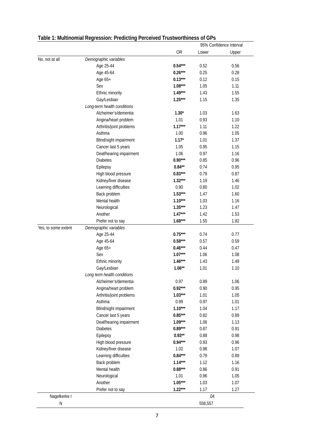|                     | rabic 1. manihohnar regression. Frealding      | <b>I CLOCHACQ THROWNOLUMICSS OF OF S</b> |         | 95% Confidence Interval |
|---------------------|------------------------------------------------|------------------------------------------|---------|-------------------------|
|                     |                                                | <b>OR</b>                                | Lower   | Upper                   |
| No, not at all      | Demographic variables                          |                                          |         |                         |
|                     | Age 25-44                                      | $0.54***$                                | 0.52    | 0.56                    |
|                     | Age 45-64                                      | $0.26***$                                | 0.25    | 0.28                    |
|                     | Age 65+                                        | $0.13***$                                | 0.12    | 0.15                    |
|                     | Sex                                            | $1.08***$                                | 1.05    | 1.11                    |
|                     | Ethnic minority                                | $1.49***$                                | 1.43    | 1.55                    |
|                     | Gay/Lesbian                                    | $1.25***$                                | 1.15    | 1.35                    |
|                     | Long-term health conditions                    |                                          |         |                         |
|                     | Alzheimer's/dementia                           | $1.30*$                                  | 1.03    | 1.63                    |
|                     | Angina/heart problem                           | 1.01                                     | 0.93    | 1.10                    |
|                     | Arthritis/joint problems                       | $1.17***$                                | 1.11    | 1.22                    |
|                     | Asthma                                         | 1.00                                     | 0.96    | 1.05                    |
|                     | Blind/sight impairment                         | $1.17*$                                  | 1.01    | 1.37                    |
|                     | Cancer last 5 years                            | 1.05                                     | 0.95    | 1.15                    |
|                     | Deaf/hearing impairment                        | 1.06                                     | 0.97    | 1.16                    |
|                     | <b>Diabetes</b>                                | $0.90***$                                | 0.85    | 0.96                    |
|                     | Epilepsy                                       | $0.84**$                                 | 0.74    | 0.95                    |
|                     | High blood pressure                            | $0.83***$                                | 0.79    | 0.87                    |
|                     | Kidney/liver disease                           | $1.32***$                                | 1.19    | 1.46                    |
|                     | Learning difficulties                          | 0.90                                     | 0.80    | 1.02                    |
|                     | Back problem                                   | $1.53***$                                | 1.47    | 1.60                    |
|                     | Mental health                                  | $1.10***$                                | 1.03    | 1.16                    |
|                     | Neurological                                   | $1.35***$                                | 1.23    | 1.47                    |
|                     | Another                                        | $1.47***$                                | 1.42    | 1.53                    |
|                     | Prefer not to say                              | $1.68***$                                | 1.55    | 1.82                    |
| Yes, to some extent | Demographic variables                          |                                          |         |                         |
|                     | Age 25-44                                      | $0.75***$                                | 0.74    | 0.77                    |
|                     | Age 45-64                                      | $0.58***$                                | 0.57    | 0.59                    |
|                     | Age 65+                                        | $0.46***$                                | 0.44    | 0.47                    |
|                     | Sex                                            | $1.07***$                                | 1.06    | 1.08                    |
|                     | Ethnic minority                                | $1.46***$                                | 1.43    | 1.49                    |
|                     | Gay/Lesbian                                    | $1.06**$                                 | 1.01    | 1.10                    |
|                     | Long term health conditions                    |                                          |         |                         |
|                     |                                                | 0.97                                     | 0.89    | 1.06                    |
|                     | Alzheimer's/dementia<br>Angina/heart problem   | $0.92***$                                | 0.90    | 0.95                    |
|                     |                                                | $1.03***$                                | 1.01    | 1.05                    |
|                     | Arthritis/joint problems<br>Asthma             | 0.99                                     | 0.97    | 1.01                    |
|                     |                                                | $1.10***$                                | 1.04    | 1.17                    |
|                     | Blind/sight impairment                         | $0.85***$                                | 0.82    | 0.89                    |
|                     | Cancer last 5 years<br>Deaf/hearing impairment | $1.09***$                                |         |                         |
|                     |                                                | $0.89***$                                | 1.06    | 1.13                    |
|                     | <b>Diabetes</b>                                | $0.93**$                                 | 0.87    | 0.91                    |
|                     | Epilepsy                                       |                                          | 0.88    | 0.98                    |
|                     | High blood pressure                            | $0.94***$                                | 0.93    | 0.96                    |
|                     | Kidney/liver disease                           | 1.02                                     | 0.98    | 1.07                    |
|                     | Learning difficulties                          | $0.84***$                                | 0.79    | 0.89                    |
|                     | Back problem                                   | $1.14***$                                | 1.12    | 1.16                    |
|                     | Mental health                                  | $0.88***$                                | 0.86    | 0.91                    |
|                     | Neurological                                   | 1.01                                     | 0.96    | 1.05                    |
|                     | Another                                        | $1.05***$                                | 1.03    | 1.07                    |
|                     | Prefer not to say                              | $1.22***$                                | 1.17    | 1.27                    |
| Nagelkerke r        |                                                |                                          | .04     |                         |
| ${\sf N}$           |                                                |                                          | 558,557 |                         |

### **Table 1: Multinomial Regression: Predicting Perceived Trustworthiness of GPs**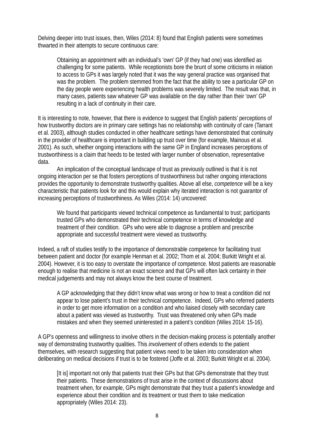Delving deeper into trust issues, then, Wiles (2014: 8) found that English patients were sometimes thwarted in their attempts to secure continuous care:

Obtaining an appointment with an individual's 'own' GP (if they had one) was identified as challenging for some patients. While receptionists bore the brunt of some criticisms in relation to access to GPs it was largely noted that it was the way general practice was organised that was the problem. The problem stemmed from the fact that the ability to see a particular GP on the day people were experiencing health problems was severely limited. The result was that, in many cases, patients saw whatever GP was available on the day rather than their 'own' GP resulting in a lack of continuity in their care.

It is interesting to note, however, that there is evidence to suggest that English patients' perceptions of how trustworthy doctors are in primary care settings has no relationship with continuity of care (Tarrant et al. 2003), although studies conducted in other healthcare settings have demonstrated that continuity in the provider of healthcare is important in building up trust over time (for example, Mainous et al. 2001). As such, whether ongoing interactions with the same GP in England increases perceptions of trustworthiness is a claim that heeds to be tested with larger number of observation, representative data.

An implication of the conceptual landscape of trust as previously outlined is that it is not ongoing interaction per se that fosters perceptions of trustworthiness but rather ongoing interactions provides the opportunity to demonstrate trustworthy qualities. Above all else, *competence* will be a key characteristic that patients look for and this would explain why iterated interaction is not guarantor of increasing perceptions of trustworthiness. As Wiles (2014: 14) uncovered:

We found that participants viewed technical competence as fundamental to trust; participants trusted GPs who demonstrated their technical competence in terms of knowledge and treatment of their condition. GPs who were able to diagnose a problem and prescribe appropriate and successful treatment were viewed as trustworthy.

Indeed, a raft of studies testify to the importance of demonstrable competence for facilitating trust between patient and doctor (for example Henman et al. 2002; Thom et al. 2004; Burkitt Wright et al. 2004). However, it is too easy to overstate the importance of competence. Most patients are reasonable enough to realise that medicine is not an exact science and that GPs will often lack certainty in their medical judgements and may not always know the best course of treatment.

A GP acknowledging that they didn't know what was wrong or how to treat a condition did not appear to lose patient's trust in their technical competence. Indeed, GPs who referred patients in order to get more information on a condition and who liaised closely with secondary care about a patient was viewed as trustworthy. Trust was threatened only when GPs made mistakes and when they seemed uninterested in a patient's condition (Wiles 2014: 15-16).

A GP's openness and willingness to involve others in the decision-making process is potentially another way of demonstrating trustworthy qualities. This *involvement* of others extends to the patient themselves, with research suggesting that patient views need to be taken into consideration when deliberating on medical decisions if trust is to be fostered (Joffe et al. 2003; Burkitt Wright et al. 2004).

[It is] important not only that patients trust their GPs but that GPs demonstrate that they trust their patients. These demonstrations of trust arise in the context of discussions about treatment when, for example, GPs might demonstrate that they trust a patient's knowledge and experience about their condition and its treatment or trust them to take medication appropriately (Wiles 2014: 23).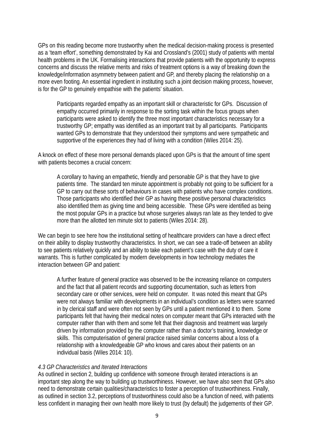GPs on this reading become more trustworthy when the medical decision-making process is presented as a 'team effort', something demonstrated by Kai and Crossland's (2001) study of patients with mental health problems in the UK. Formalising interactions that provide patients with the opportunity to express concerns and discuss the relative merits and risks of treatment options is a way of breaking down the knowledge/information asymmetry between patient and GP, and thereby placing the relationship on a more even footing. An essential ingredient in instituting such a joint decision making process, however, is for the GP to genuinely empathise with the patients' situation.

Participants regarded empathy as an important skill or characteristic for GPs. Discussion of empathy occurred primarily in response to the sorting task within the focus groups when participants were asked to identify the three most important characteristics necessary for a trustworthy GP; empathy was identified as an important trait by all participants. Participants wanted GPs to demonstrate that they understood their symptoms and were sympathetic and supportive of the experiences they had of living with a condition (Wiles 2014: 25).

A knock on effect of these more personal demands placed upon GPs is that the amount of time spent with patients becomes a crucial concern:

A corollary to having an empathetic, friendly and personable GP is that they have to give patients time. The standard ten minute appointment is probably not going to be sufficient for a GP to carry out these sorts of behaviours in cases with patients who have complex conditions. Those participants who identified their GP as having these positive personal characteristics also identified them as giving time and being accessible. These GPs were identified as being the most popular GPs in a practice but whose surgeries always ran late as they tended to give more than the allotted ten minute slot to patients (Wiles 2014: 28).

We can begin to see here how the institutional setting of healthcare providers can have a direct effect on their ability to display trustworthy characteristics. In short, we can see a trade-off between an ability to see patients relatively quickly and an ability to take each patient's case with the duty of care it warrants. This is further complicated by modern developments in how technology mediates the interaction between GP and patient:

A further feature of general practice was observed to be the increasing reliance on computers and the fact that all patient records and supporting documentation, such as letters from secondary care or other services, were held on computer. It was noted this meant that GPs were not always familiar with developments in an individual's condition as letters were scanned in by clerical staff and were often not seen by GPs until a patient mentioned it to them. Some participants felt that having their medical notes on computer meant that GPs interacted with the computer rather than with them and some felt that their diagnosis and treatment was largely driven by information provided by the computer rather than a doctor's training, knowledge or skills. This computerisation of general practice raised similar concerns about a loss of a relationship with a knowledgeable GP who knows and cares about their patients on an individual basis (Wiles 2014: 10).

#### *4.3 GP Characteristics and Iterated Interactions*

As outlined in section 2, building up confidence with someone through iterated interactions is an important step along the way to building up trustworthiness. However, we have also seen that GPs also need to demonstrate certain qualities/characteristics to foster a perception of trustworthiness. Finally, as outlined in section 3.2, perceptions of trustworthiness could also be a function of need, with patients less confident in managing their own health more likely to trust (by default) the judgements of their GP.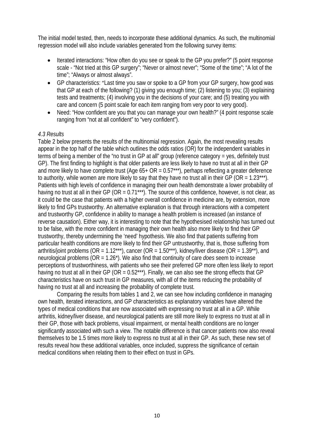The initial model tested, then, needs to incorporate these additional dynamics. As such, the multinomial regression model will also include variables generated from the following survey items:

- Iterated interactions: "How often do you see or speak to the GP you prefer?" (5 point response scale - "Not tried at this GP surgery"; "Never or almost never"; "Some of the time"; "A lot of the time"; "Always or almost always".
- GP characteristics: "Last time you saw or spoke to a GP from your GP surgery, how good was that GP at each of the following? (1) giving you enough time; (2) listening to you; (3) explaining tests and treatments; (4) involving you in the decisions of your care; and (5) treating you with care and concern (5 point scale for each item ranging from very poor to very good).
- Need: "How confident are you that you can manage your own health?" (4 point response scale ranging from "not at all confident" to "very confident").

#### *4.3 Results*

Table 2 below presents the results of the multinomial regression. Again, the most revealing results appear in the top half of the table which outlines the odds ratios (OR) for the independent variables in terms of being a member of the "no trust in GP at all" group (reference category = yes, definitely trust GP). The first finding to highlight is that older patients are less likely to have no trust at all in their GP and more likely to have complete trust (Age  $65+OR = 0.57***$ ), perhaps reflecting a greater deference to authority, while women are more likely to say that they have no trust all in their GP (OR =  $1.23***$ ). Patients with high levels of confidence in managing their own health demonstrate a lower probability of having no trust at all in their GP (OR = 0.71\*\*\*). The source of this confidence, however, is not clear, as it could be the case that patients with a higher overall confidence in medicine are, by extension, more likely to find GPs trustworthy. An alternative explanation is that through interactions with a competent and trustworthy GP, confidence in ability to manage a health problem is increased (an instance of reverse causation). Either way, it is interesting to note that the hypothesised relationship has turned out to be false, with the more confident in managing their own health also more likely to find their GP trustworthy, thereby undermining the 'need' hypothesis. We also find that patients suffering from particular health conditions are more likely to find their GP untrustworthy, that is, those suffering from arthritis/joint problems (OR =  $1.12***$ ), cancer (OR =  $1.50***$ ), kidney/liver disease (OR =  $1.39**$ ), and neurological problems (OR = 1.26\*). We also find that continuity of care *does* seem to increase perceptions of trustworthiness, with patients who see their preferred GP more often less likely to report having no trust at all in their GP (OR = 0.52\*\*\*). Finally, we can also see the strong effects that GP characteristics have on such trust in GP measures, with all of the items reducing the probability of having no trust at all and increasing the probability of complete trust.

Comparing the results from tables 1 and 2, we can see how including confidence in managing own health, iterated interactions, and GP characteristics as explanatory variables have altered the types of medical conditions that are now associated with expressing no trust at all in a GP. While arthritis, kidney/liver disease, and neurological patients are still more likely to express no trust at all in their GP, those with back problems, visual impairment, or mental health conditions are no longer significantly associated with such a view. The notable difference is that cancer patients now also reveal themselves to be 1.5 times more likely to express no trust at all in their GP. As such, these new set of results reveal how these additional variables, once included, suppress the significance of certain medical conditions when relating them to their effect on trust in GPs.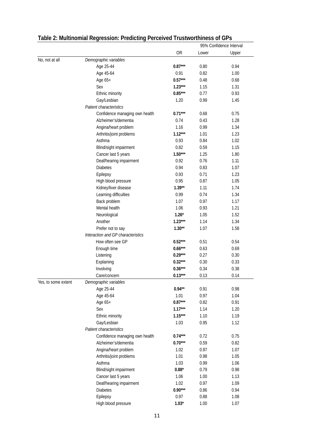|                     |                                    |                |                                                                                                                                                                      | 95% Confidence Interval |  |  |
|---------------------|------------------------------------|----------------|----------------------------------------------------------------------------------------------------------------------------------------------------------------------|-------------------------|--|--|
|                     |                                    | 0R             | Lower                                                                                                                                                                | Upper                   |  |  |
| No, not at all      | Demographic variables              |                |                                                                                                                                                                      |                         |  |  |
|                     | Age 25-44                          | $0.87***$      | 0.80                                                                                                                                                                 | 0.94                    |  |  |
|                     | Age 45-64                          | 0.91           | 0.82                                                                                                                                                                 | 1.00                    |  |  |
|                     | Age 65+                            | $0.57***$      | 0.48                                                                                                                                                                 | 0.68                    |  |  |
|                     | Sex                                | $1.23***$      | 1.15                                                                                                                                                                 | 1.31                    |  |  |
|                     | Ethnic minority                    | $0.85***$      | 0.77                                                                                                                                                                 | 0.93                    |  |  |
|                     | Gay/Lesbian                        | 1.20           | 0.99                                                                                                                                                                 | 1.45                    |  |  |
|                     | Patient characteristics            |                |                                                                                                                                                                      |                         |  |  |
|                     | Confidence managing own health     | $0.71***$      | 0.68                                                                                                                                                                 | 0.75                    |  |  |
|                     | Alzheimer's/dementia               | 0.74           | 0.43                                                                                                                                                                 | 1.28                    |  |  |
|                     | Angina/heart problem               | 1.16           | 0.99                                                                                                                                                                 | 1.34                    |  |  |
|                     | Arthritis/joint problems           | $1.12***$      | 1.01                                                                                                                                                                 | 1.23                    |  |  |
|                     | Asthma                             | 0.93           | 0.84                                                                                                                                                                 | 1.02                    |  |  |
|                     | Blind/sight impairment             | 0.82           | 0.59                                                                                                                                                                 | 1.15                    |  |  |
|                     | Cancer last 5 years                | $1.50***$      | 1.25                                                                                                                                                                 | 1.80                    |  |  |
|                     | Deaf/hearing impairment            | 0.92           | 0.76                                                                                                                                                                 | 1.11                    |  |  |
|                     | <b>Diabetes</b>                    | 0.94           | 0.83                                                                                                                                                                 | 1.07                    |  |  |
|                     | Epilepsy                           | 0.93           | 0.71                                                                                                                                                                 | 1.23                    |  |  |
|                     | High blood pressure                | 0.95           | 0.87                                                                                                                                                                 | 1.05                    |  |  |
|                     | Kidney/liver disease               | $1.39**$       | 1.11                                                                                                                                                                 | 1.74                    |  |  |
|                     | Learning difficulties              | 0.99           | 0.74                                                                                                                                                                 | 1.34                    |  |  |
|                     | Back problem                       | 1.07           | 0.97                                                                                                                                                                 | 1.17                    |  |  |
|                     | Mental health                      | 1.06           | 0.93                                                                                                                                                                 | 1.21                    |  |  |
|                     | Neurological                       | $1.26*$        |                                                                                                                                                                      | 1.52                    |  |  |
|                     | Another                            | $1.23***$      | 1.14                                                                                                                                                                 | 1.34                    |  |  |
|                     | Prefer not to say                  | $1.30**$       | 1.07                                                                                                                                                                 | 1.58                    |  |  |
|                     | Interaction and GP characteristics |                |                                                                                                                                                                      |                         |  |  |
|                     | How often see GP                   | $0.52***$      |                                                                                                                                                                      | 0.54                    |  |  |
|                     | Enough time                        | $0.66***$      |                                                                                                                                                                      | 0.69                    |  |  |
|                     | Listening                          | $0.29***$      |                                                                                                                                                                      | 0.30                    |  |  |
|                     | Explaining                         | $0.32***$      | 0.30                                                                                                                                                                 | 0.33                    |  |  |
|                     | Involving                          | $0.36***$      |                                                                                                                                                                      | 0.38                    |  |  |
|                     | Care/concern                       | $0.13***$      |                                                                                                                                                                      | 0.14                    |  |  |
| Yes, to some extent | Demographic variables              |                |                                                                                                                                                                      |                         |  |  |
|                     | Age 25-44                          | $0.94**$       | 0.91                                                                                                                                                                 | 0.98                    |  |  |
|                     | Age 45-64                          | 1.01           | 0.97                                                                                                                                                                 | 1.04                    |  |  |
|                     | Age 65+                            | $0.87***$      | 1.05<br>0.51<br>0.63<br>0.27<br>0.34<br>0.13<br>0.82<br>1.14<br>1.10<br>0.95<br>0.72<br>0.59<br>0.97<br>0.98<br>0.99<br>0.79<br>1.00<br>0.97<br>0.86<br>0.88<br>1.00 | 0.91                    |  |  |
|                     | Sex                                | $1.17***$      |                                                                                                                                                                      | 1.20                    |  |  |
|                     | Ethnic minority                    | $1.15***$      |                                                                                                                                                                      | 1.19                    |  |  |
|                     | Gay/Lesbian                        | 1.03           |                                                                                                                                                                      | 1.12                    |  |  |
|                     | Patient characteristics            |                |                                                                                                                                                                      |                         |  |  |
|                     | Confidence managing own health     | $0.74***$      |                                                                                                                                                                      | 0.75                    |  |  |
|                     | Alzheimer's/dementia               | $0.70***$      |                                                                                                                                                                      | 0.82                    |  |  |
|                     | Angina/heart problem               | 1.02           |                                                                                                                                                                      | 1.07                    |  |  |
|                     | Arthritis/joint problems           | 1.01           |                                                                                                                                                                      | 1.05                    |  |  |
|                     | Asthma                             | 1.03           |                                                                                                                                                                      | 1.06                    |  |  |
|                     | Blind/sight impairment             | $0.88^{\star}$ |                                                                                                                                                                      | 0.98                    |  |  |
|                     | Cancer last 5 years                | 1.06           |                                                                                                                                                                      | 1.13                    |  |  |
|                     | Deaf/hearing impairment            | 1.02           |                                                                                                                                                                      | 1.09                    |  |  |
|                     | <b>Diabetes</b>                    | $0.90***$      |                                                                                                                                                                      | 0.94                    |  |  |
|                     | Epilepsy                           | 0.97           |                                                                                                                                                                      | 1.08                    |  |  |
|                     | High blood pressure                | $1.03*$        |                                                                                                                                                                      | 1.07                    |  |  |

## **Table 2: Multinomial Regression: Predicting Perceived Trustworthiness of GPs**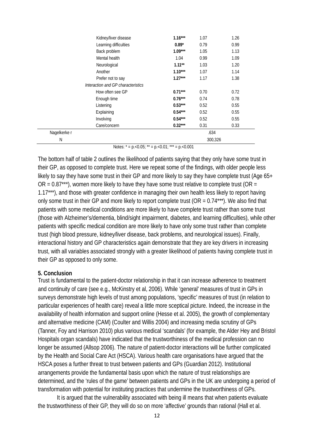| Kidney/liver disease               | $1.16***$ | 1.07    | 1.26 |  |
|------------------------------------|-----------|---------|------|--|
| Learning difficulties              | $0.89*$   | 0.79    | 0.99 |  |
| Back problem                       | $1.09***$ | 1.05    | 1.13 |  |
| Mental health                      | 1.04      | 0.99    | 1.09 |  |
| Neurological                       | $1.11***$ | 1.03    | 1.20 |  |
| Another                            | $1.10***$ | 1.07    | 1.14 |  |
| Prefer not to say                  | $1.27***$ | 1.17    | 1.38 |  |
| Interaction and GP characteristics |           |         |      |  |
| How often see GP                   | $0.71***$ | 0.70    | 0.72 |  |
| Enough time                        | $0.76***$ | 0.74    | 0.78 |  |
| Listening                          | $0.53***$ | 0.52    | 0.55 |  |
| Explaining                         | $0.54***$ | 0.52    | 0.55 |  |
| Involving                          | $0.54***$ | 0.52    | 0.55 |  |
| Care/concern                       | $0.32***$ | 0.31    | 0.33 |  |
| Nagelkerke r                       |           | .634    |      |  |
| N                                  |           | 300,326 |      |  |

Notes:  $* = p \cdot 0.05$ ;  $** = p \cdot 0.01$ ;  $** = p \cdot 0.001$ 

The bottom half of table 2 outlines the likelihood of patients saying that they only have some trust in their GP, as opposed to complete trust. Here we repeat some of the findings, with older people less likely to say they have some trust in their GP and more likely to say they have complete trust (Age 65+  $OR = 0.87***$ ), women more likely to have they have some trust relative to complete trust (OR = 1.17\*\*\*), and those with greater confidence in managing their own health less likely to report having only some trust in their GP and more likely to report complete trust ( $OR = 0.74***$ ). We also find that patients with some medical conditions are more likely to have complete trust rather than some trust (those with Alzheimer's/dementia, blind/sight impairment, diabetes, and learning difficulties), while other patients with specific medical condition are more likely to have only some trust rather than complete trust (high blood pressure, kidney/liver disease, back problems, and neurological issues). Finally, interactional history and GP characteristics again demonstrate that they are key drivers in increasing trust, with all variables associated strongly with a greater likelihood of patients having complete trust in their GP as opposed to only some.

#### **5. Conclusion**

Trust is fundamental to the patient-doctor relationship in that it can increase adherence to treatment and continuity of care (see e.g., McKinstry et al, 2006). While 'general' measures of trust in GPs in surveys demonstrate high levels of trust among populations, 'specific' measures of trust (in relation to particular experiences of health care) reveal a little more sceptical picture. Indeed, the increase in the availability of health information and support online (Hesse et al. 2005), the growth of complementary and alternative medicine (CAM) (Coulter and Willis 2004) and increasing media scrutiny of GPs (Tanner, Foy and Harrison 2010) plus various medical 'scandals' (for example, the Alder Hey and Bristol Hospitals organ scandals) have indicated that the trustworthiness of the medical profession can no longer be assumed (Allsop 2006). The nature of patient-doctor interactions will be further complicated by the Health and Social Care Act (HSCA). Various health care organisations have argued that the HSCA poses a further threat to trust between patients and GPs (Guardian 2012). Institutional arrangements provide the fundamental basis upon which the nature of trust relationships are determined, and the 'rules of the game' between patients and GPs in the UK are undergoing a period of transformation with potential for instituting practices that undermine the trustworthiness of GPs.

It is argued that the vulnerability associated with being ill means that when patients evaluate the trustworthiness of their GP, they will do so on more 'affective' grounds than rational (Hall et al.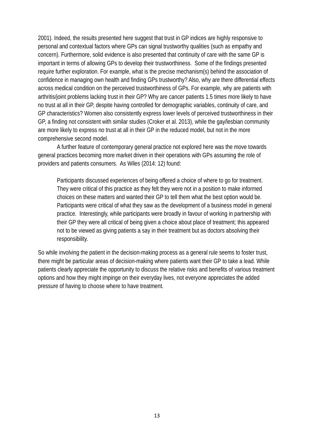2001). Indeed, the results presented here suggest that trust in GP indices are highly responsive to personal and contextual factors where GPs can signal trustworthy qualities (such as empathy and concern). Furthermore, solid evidence is also presented that continuity of care with the same GP is important in terms of allowing GPs to develop their trustworthiness. Some of the findings presented require further exploration. For example, what is the precise mechanism(s) behind the association of confidence in managing own health and finding GPs trustworthy? Also, why are there differential effects across medical condition on the perceived trustworthiness of GPs. For example, why are patients with arthritis/joint problems lacking trust in their GP? Why are cancer patients 1.5 times more likely to have no trust at all in their GP, despite having controlled for demographic variables, continuity of care, and GP characteristics? Women also consistently express lower levels of perceived trustworthiness in their GP, a finding not consistent with similar studies (Croker et al. 2013), while the gay/lesbian community are more likely to express no trust at all in their GP in the reduced model, but not in the more comprehensive second model.

A further feature of contemporary general practice not explored here was the move towards general practices becoming more market driven in their operations with GPs assuming the role of providers and patients consumers. As Wiles (2014: 12) found:

Participants discussed experiences of being offered a choice of where to go for treatment. They were critical of this practice as they felt they were not in a position to make informed choices on these matters and wanted their GP to tell them what the best option would be. Participants were critical of what they saw as the development of a business model in general practice. Interestingly, while participants were broadly in favour of working in partnership with their GP they were all critical of being given a choice about place of treatment; this appeared not to be viewed as giving patients a say in their treatment but as doctors absolving their responsibility.

So while involving the patient in the decision-making process as a general rule seems to foster trust, there might be particular areas of decision-making where patients want their GP to take a lead. While patients clearly appreciate the opportunity to discuss the relative risks and benefits of various treatment options and how they might impinge on their everyday lives, not everyone appreciates the added pressure of having to choose where to have treatment.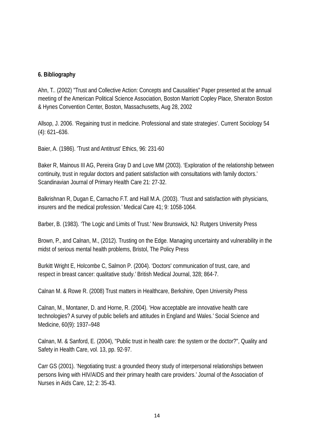#### **6. Bibliography**

Ahn, T.. (2002) "Trust and Collective Action: Concepts and Causalities" Paper presented at the annual meeting of the American Political Science Association, Boston Marriott Copley Place, Sheraton Boston & Hynes Convention Center, Boston, Massachusetts, Aug 28, 2002

Allsop, J. 2006. 'Regaining trust in medicine. Professional and state strategies'. Current Sociology 54 (4): 621–636.

Baier, A. (1986). 'Trust and Antitrust' Ethics, 96: 231-60

Baker R, Mainous III AG, Pereira Gray D and Love MM (2003). 'Exploration of the relationship between continuity, trust in regular doctors and patient satisfaction with consultations with family doctors.' Scandinavian Journal of Primary Health Care 21: 27-32.

Balkrishnan R, Dugan E, Carnacho F.T. and Hall M.A. (2003). 'Trust and satisfaction with physicians, insurers and the medical profession.' Medical Care 41; 9: 1058-1064.

Barber, B. (1983). 'The Logic and Limits of Trust.' New Brunswick, NJ: Rutgers University Press

Brown, P., and Calnan, M., (2012). Trusting on the Edge. Managing uncertainty and vulnerability in the midst of serious mental health problems, Bristol, The Policy Press

Burkitt Wright E, Holcombe C, Salmon P. (2004). 'Doctors' communication of trust, care, and respect in breast cancer: qualitative study.' British Medical Journal, 328; 864-7.

Calnan M. & Rowe R. (2008) Trust matters in Healthcare, Berkshire, Open University Press

Calnan, M., Montaner, D. and Horne, R. (2004). 'How acceptable are innovative health care technologies? A survey of public beliefs and attitudes in England and Wales.' Social Science and Medicine, 60(9): 1937–948

Calnan, M. & Sanford, E. (2004), "Public trust in health care: the system or the doctor?", Quality and Safety in Health Care, vol. 13, pp. 92-97.

Carr GS (2001). 'Negotiating trust: a grounded theory study of interpersonal relationships between persons living with HIV/AIDS and their primary health care providers.' Journal of the Association of Nurses in Aids Care, 12; 2: 35-43.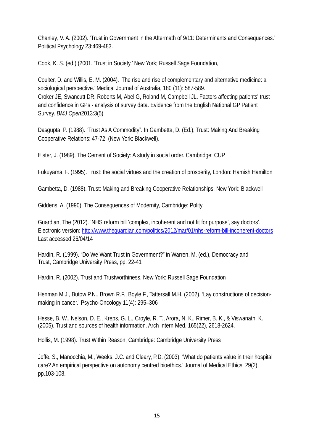Chanley, V. A. (2002). 'Trust in Government in the Aftermath of 9/11: Determinants and Consequences.' Political Psychology 23:469-483.

Cook, K. S. (ed.) (2001. 'Trust in Society.' New York; Russell Sage Foundation,

Coulter, D. and Willis, E. M. (2004). 'The rise and rise of complementary and alternative medicine: a sociological perspective.' Medical Journal of Australia, 180 (11): 587-589. Croker JE, Swancutt DR, Roberts M, Abel G, Roland M, Campbell JL. Factors affecting patients' trust and confidence in GPs - analysis of survey data. Evidence from the English National GP Patient Survey. *BMJ Open*2013:3(5)

Dasgupta, P. (1988). "Trust As A Commodity". In Gambetta, D. (Ed.), Trust: Making And Breaking Cooperative Relations: 47-72. (New York: Blackwell).

Elster, J. (1989). The Cement of Society: A study in social order. Cambridge: CUP

Fukuyama, F. (1995). Trust: the social virtues and the creation of prosperity, London: Hamish Hamilton

Gambetta, D. (1988). Trust: Making and Breaking Cooperative Relationships, New York: Blackwell

Giddens, A. (1990). The Consequences of Modernity, Cambridge: Polity

Guardian, The (2012). 'NHS reform bill 'complex, incoherent and not fit for purpose', say doctors'. Electronic version:<http://www.theguardian.com/politics/2012/mar/01/nhs-reform-bill-incoherent-doctors> Last accessed 26/04/14

Hardin, R. (1999). "Do We Want Trust in Government?" in Warren, M. (ed.), Democracy and Trust, Cambridge University Press, pp. 22-41

Hardin, R. (2002). Trust and Trustworthiness, New York: Russell Sage Foundation

Henman M.J., Butow P.N., Brown R.F., Boyle F., Tattersall M.H. (2002). 'Lay constructions of decisionmaking in cancer.' Psycho-Oncology 11(4): 295–306

Hesse, B. W., Nelson, D. E., Kreps, G. L., Croyle, R. T., Arora, N. K., Rimer, B. K., & Viswanath, K. (2005). Trust and sources of health information. Arch Intern Med, 165(22), 2618-2624.

Hollis, M. (1998). Trust Within Reason, Cambridge: Cambridge University Press

Joffe, S., Manocchia, M., Weeks, J.C. and Cleary, P.D. (2003). 'What do patients value in their hospital care? An empirical perspective on autonomy centred bioethics.' Journal of Medical Ethics. 29(2), pp.103-108.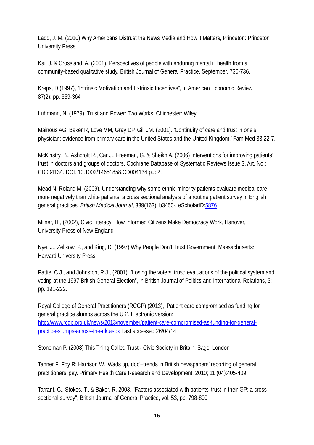Ladd, J. M. (2010) Why Americans Distrust the News Media and How it Matters, Princeton: Princeton University Press

Kai, J. & Crossland, A. (2001). Perspectives of people with enduring mental ill health from a community-based qualitative study. British Journal of General Practice, September, 730-736.

Kreps, D.(1997), "Intrinsic Motivation and Extrinsic Incentives", in American Economic Review 87(2): pp. 359-364

Luhmann, N. (1979), Trust and Power: Two Works, Chichester: Wiley

Mainous AG, Baker R, Love MM, Gray DP, Gill JM. (2001). 'Continuity of care and trust in one's physician: evidence from primary care in the United States and the United Kingdom.' Fam Med 33:22-7.

McKinstry, B., Ashcroft R., Car J., Freeman, G. & Sheikh A. (2006) Interventions for improving patients' trust in doctors and groups of doctors. Cochrane Database of Systematic Reviews Issue 3. Art. No.: CD004134. DOI: 10.1002/14651858.CD004134.pub2.

Mead N, Roland M. (2009). Understanding why some ethnic minority patients evaluate medical care more negatively than white patients: a cross sectional analysis of a routine patient survey in English general practices. *British Medical Journal*, 339(163), b3450-. eScholarID[:5876](http://www.manchester.ac.uk/escholar/uk-ac-man-scw:5876)

Milner, H., (2002), Civic Literacy: How Informed Citizens Make Democracy Work, Hanover, University Press of New England

Nye, J., Zelikow, P., and King, D. (1997) Why People Don't Trust Government, Massachusetts: Harvard University Press

Pattie, C.J., and Johnston, R.J., (2001), "Losing the voters' trust: evaluations of the political system and voting at the 1997 British General Election", in British Journal of Politics and International Relations, 3: pp. 191-222.

Royal College of General Practitioners (RCGP) (2013), 'Patient care compromised as funding for general practice slumps across the UK'. Electronic version: [http://www.rcgp.org.uk/news/2013/november/patient-care-compromised-as-funding-for-general](http://www.rcgp.org.uk/news/2013/november/patient-care-compromised-as-funding-for-general-practice-slumps-across-the-uk.aspx)[practice-slumps-across-the-uk.aspx](http://www.rcgp.org.uk/news/2013/november/patient-care-compromised-as-funding-for-general-practice-slumps-across-the-uk.aspx) Last accessed 26/04/14

Stoneman P. (2008) This Thing Called Trust - Civic Society in Britain. Sage: London

Tanner F; Foy R; Harrison W. 'Wads up, doc'–trends in British newspapers' reporting of general practitioners' pay. Primary Health Care Research and Development. 2010; 11 (04):405-409.

Tarrant, C., Stokes, T., & Baker, R. 2003, "Factors associated with patients' trust in their GP: a crosssectional survey", British Journal of General Practice, vol. 53, pp. 798-800